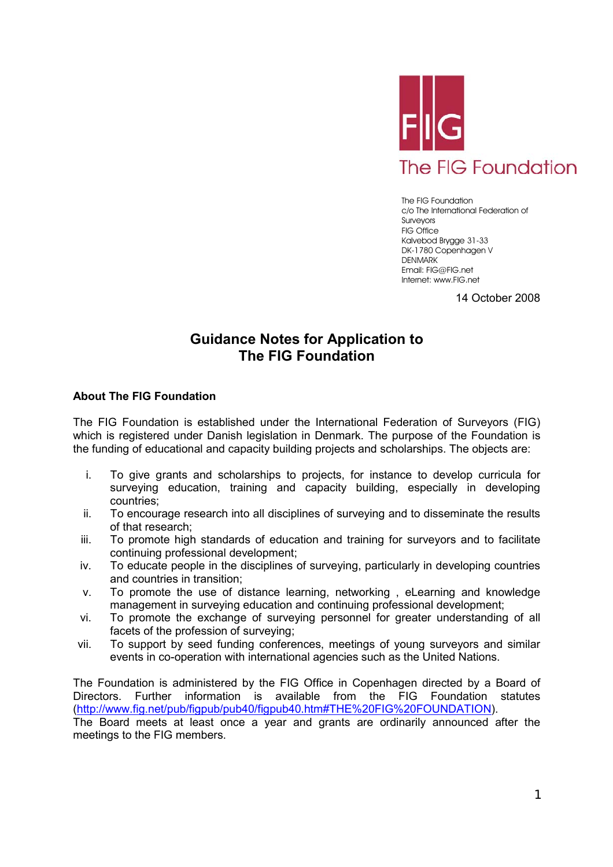

The FIG Foundation c/o The International Federation of Surveyors FIG Office Kalvebod Brygge 31-33 DK-1780 Copenhagen V **DENMARK** Email: FIG@FIG.net Internet: www.FIG.net

14 October 2008

# **Guidance Notes for Application to The FIG Foundation**

# **About The FIG Foundation**

The FIG Foundation is established under the International Federation of Surveyors (FIG) which is registered under Danish legislation in Denmark. The purpose of the Foundation is the funding of educational and capacity building projects and scholarships. The objects are:

- i. To give grants and scholarships to projects, for instance to develop curricula for surveying education, training and capacity building, especially in developing countries;
- ii. To encourage research into all disciplines of surveying and to disseminate the results of that research;
- iii. To promote high standards of education and training for surveyors and to facilitate continuing professional development;
- iv. To educate people in the disciplines of surveying, particularly in developing countries and countries in transition;
- v. To promote the use of distance learning, networking , eLearning and knowledge management in surveying education and continuing professional development;
- vi. To promote the exchange of surveying personnel for greater understanding of all facets of the profession of surveying;
- vii. To support by seed funding conferences, meetings of young surveyors and similar events in co-operation with international agencies such as the United Nations.

The Foundation is administered by the FIG Office in Copenhagen directed by a Board of Directors. Further information is available from the FIG Foundation statutes (http://www.fig.net/pub/figpub/pub40/figpub40.htm#THE%20FIG%20FOUNDATION). The Board meets at least once a year and grants are ordinarily announced after the

meetings to the FIG members.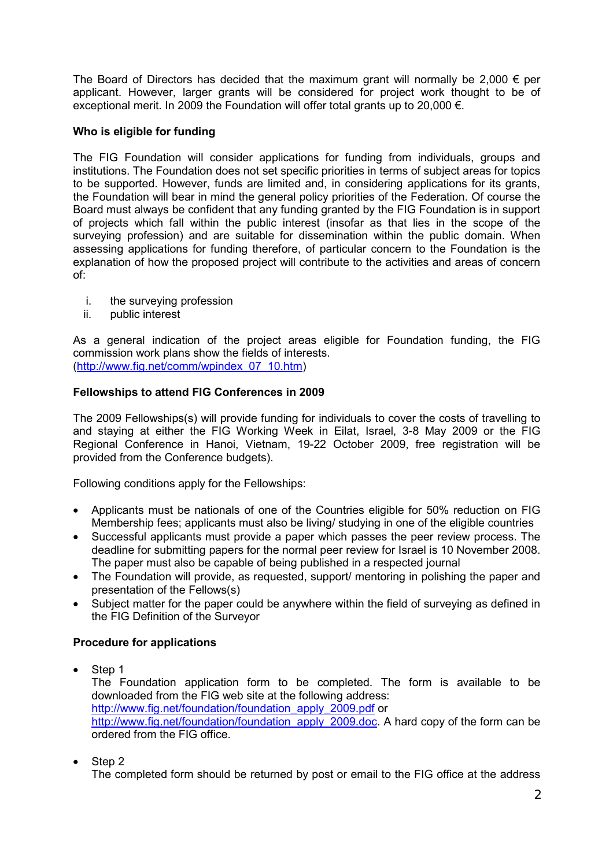The Board of Directors has decided that the maximum grant will normally be 2,000  $\epsilon$  per applicant. However, larger grants will be considered for project work thought to be of exceptional merit. In 2009 the Foundation will offer total grants up to 20,000 €.

# **Who is eligible for funding**

The FIG Foundation will consider applications for funding from individuals, groups and institutions. The Foundation does not set specific priorities in terms of subject areas for topics to be supported. However, funds are limited and, in considering applications for its grants, the Foundation will bear in mind the general policy priorities of the Federation. Of course the Board must always be confident that any funding granted by the FIG Foundation is in support of projects which fall within the public interest (insofar as that lies in the scope of the surveying profession) and are suitable for dissemination within the public domain. When assessing applications for funding therefore, of particular concern to the Foundation is the explanation of how the proposed project will contribute to the activities and areas of concern of:

- i. the surveying profession
- ii. public interest

As a general indication of the project areas eligible for Foundation funding, the FIG commission work plans show the fields of interests. (http://www.fig.net/comm/wpindex\_07\_10.htm)

# **Fellowships to attend FIG Conferences in 2009**

The 2009 Fellowships(s) will provide funding for individuals to cover the costs of travelling to and staying at either the FIG Working Week in Eilat, Israel, 3-8 May 2009 or the FIG Regional Conference in Hanoi, Vietnam, 19-22 October 2009, free registration will be provided from the Conference budgets).

Following conditions apply for the Fellowships:

- Applicants must be nationals of one of the Countries eligible for 50% reduction on FIG Membership fees; applicants must also be living/ studying in one of the eligible countries
- Successful applicants must provide a paper which passes the peer review process. The deadline for submitting papers for the normal peer review for Israel is 10 November 2008. The paper must also be capable of being published in a respected journal
- The Foundation will provide, as requested, support/ mentoring in polishing the paper and presentation of the Fellows(s)
- Subiect matter for the paper could be anywhere within the field of surveying as defined in the FIG Definition of the Surveyor

# **Procedure for applications**

Step 1 The Foundation application form to be completed. The form is available to be downloaded from the FIG web site at the following address: http://www.fig.net/foundation/foundation\_apply\_2009.pdf or http://www.fig.net/foundation/foundation\_apply\_2009.doc. A hard copy of the form can be ordered from the FIG office.

Step 2

The completed form should be returned by post or email to the FIG office at the address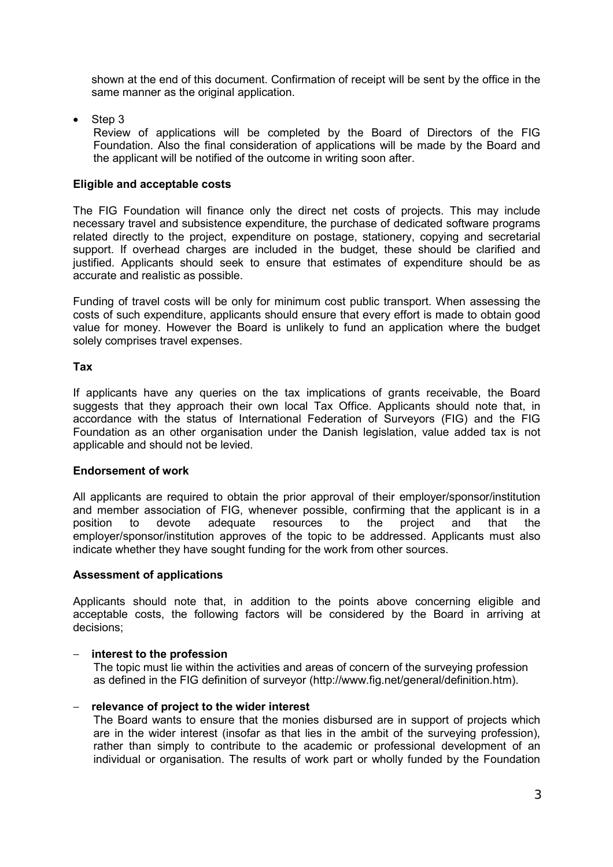shown at the end of this document. Confirmation of receipt will be sent by the office in the same manner as the original application.

• Step 3

Review of applications will be completed by the Board of Directors of the FIG Foundation. Also the final consideration of applications will be made by the Board and the applicant will be notified of the outcome in writing soon after.

### **Eligible and acceptable costs**

The FIG Foundation will finance only the direct net costs of projects. This may include necessary travel and subsistence expenditure, the purchase of dedicated software programs related directly to the project, expenditure on postage, stationery, copying and secretarial support. If overhead charges are included in the budget, these should be clarified and justified. Applicants should seek to ensure that estimates of expenditure should be as accurate and realistic as possible.

Funding of travel costs will be only for minimum cost public transport. When assessing the costs of such expenditure, applicants should ensure that every effort is made to obtain good value for money. However the Board is unlikely to fund an application where the budget solely comprises travel expenses.

#### **Tax**

If applicants have any queries on the tax implications of grants receivable, the Board suggests that they approach their own local Tax Office. Applicants should note that, in accordance with the status of International Federation of Surveyors (FIG) and the FIG Foundation as an other organisation under the Danish legislation, value added tax is not applicable and should not be levied.

# **Endorsement of work**

All applicants are required to obtain the prior approval of their employer/sponsor/institution and member association of FIG, whenever possible, confirming that the applicant is in a position to devote adequate resources to the project and that the employer/sponsor/institution approves of the topic to be addressed. Applicants must also indicate whether they have sought funding for the work from other sources.

# **Assessment of applications**

Applicants should note that, in addition to the points above concerning eligible and acceptable costs, the following factors will be considered by the Board in arriving at decisions;

# − **interest to the profession**

The topic must lie within the activities and areas of concern of the surveying profession as defined in the FIG definition of surveyor (http://www.fig.net/general/definition.htm).

# − **relevance of project to the wider interest**

The Board wants to ensure that the monies disbursed are in support of projects which are in the wider interest (insofar as that lies in the ambit of the surveying profession), rather than simply to contribute to the academic or professional development of an individual or organisation. The results of work part or wholly funded by the Foundation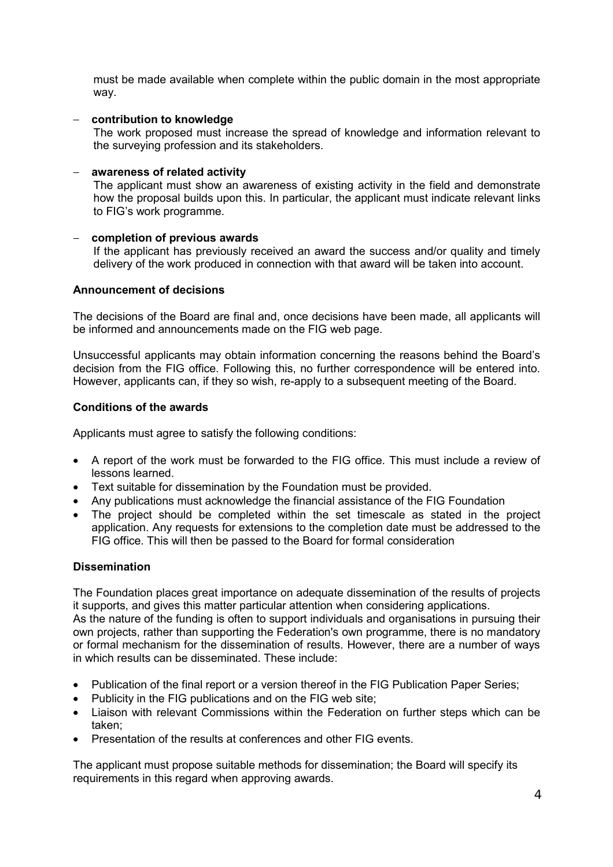must be made available when complete within the public domain in the most appropriate way.

# − **contribution to knowledge**

The work proposed must increase the spread of knowledge and information relevant to the surveying profession and its stakeholders.

#### − **awareness of related activity**

The applicant must show an awareness of existing activity in the field and demonstrate how the proposal builds upon this. In particular, the applicant must indicate relevant links to FIG's work programme.

#### − **completion of previous awards**

If the applicant has previously received an award the success and/or quality and timely delivery of the work produced in connection with that award will be taken into account.

### **Announcement of decisions**

The decisions of the Board are final and, once decisions have been made, all applicants will be informed and announcements made on the FIG web page.

Unsuccessful applicants may obtain information concerning the reasons behind the Board's decision from the FIG office. Following this, no further correspondence will be entered into. However, applicants can, if they so wish, re-apply to a subsequent meeting of the Board.

#### **Conditions of the awards**

Applicants must agree to satisfy the following conditions:

- A report of the work must be forwarded to the FIG office. This must include a review of lessons learned.
- Text suitable for dissemination by the Foundation must be provided.
- Any publications must acknowledge the financial assistance of the FIG Foundation
- The project should be completed within the set timescale as stated in the project application. Any requests for extensions to the completion date must be addressed to the FIG office. This will then be passed to the Board for formal consideration

# **Dissemination**

The Foundation places great importance on adequate dissemination of the results of projects it supports, and gives this matter particular attention when considering applications.

As the nature of the funding is often to support individuals and organisations in pursuing their own projects, rather than supporting the Federation's own programme, there is no mandatory or formal mechanism for the dissemination of results. However, there are a number of ways in which results can be disseminated. These include:

- Publication of the final report or a version thereof in the FIG Publication Paper Series;
- Publicity in the FIG publications and on the FIG web site;
- Liaison with relevant Commissions within the Federation on further steps which can be taken;
- Presentation of the results at conferences and other FIG events.

The applicant must propose suitable methods for dissemination; the Board will specify its requirements in this regard when approving awards.